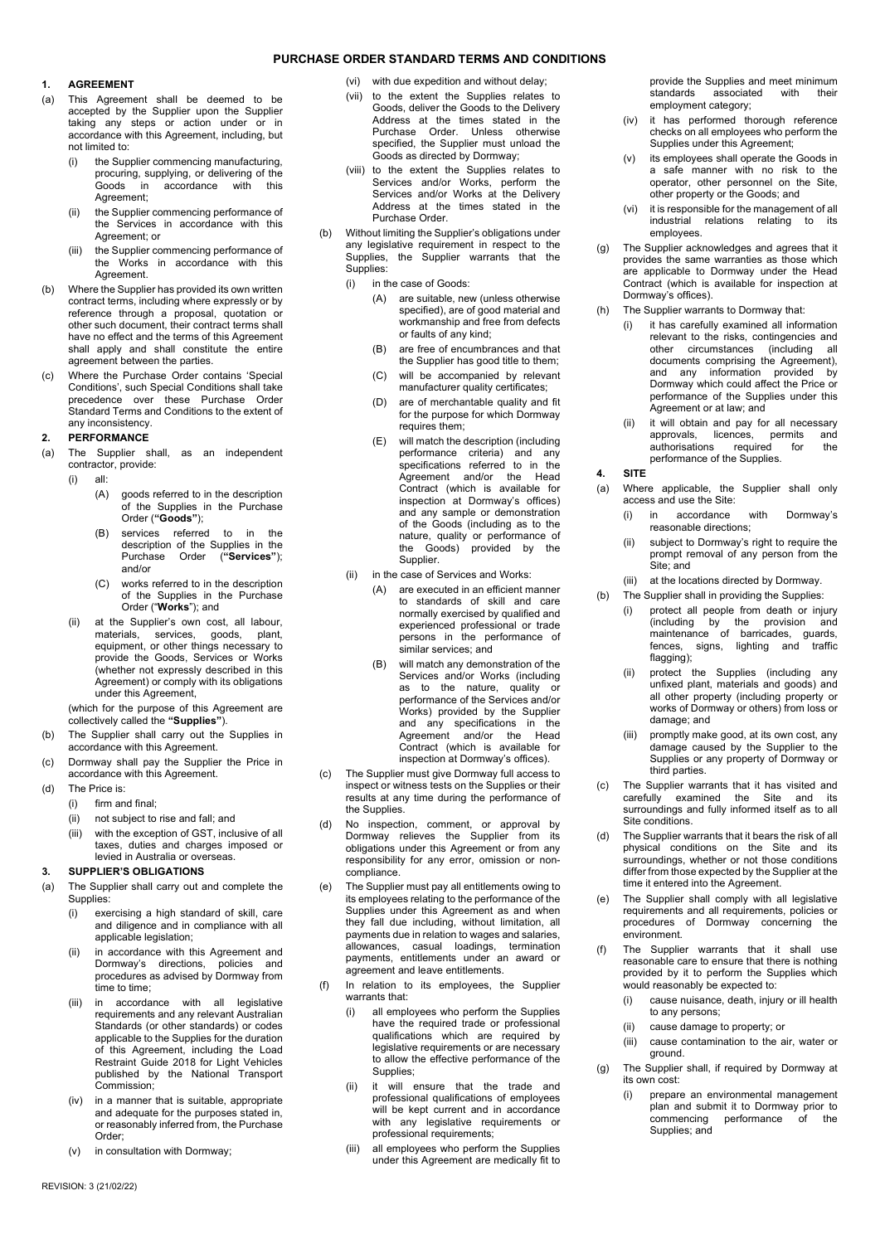## **1. AGREEMENT**

- (a) This Agreement shall be deemed to be accepted by the Supplier upon the Supplier taking any steps or action under or in accordance with this Agreement, including, but not limited to:
	- (i) the Supplier commencing manufacturing, procuring, supplying, or delivering of the Goods in accordance with this Agreement;
	- (ii) the Supplier commencing performance of the Services in accordance with this Agreement; or
	- (iii) the Supplier commencing performance of the Works in accordance with this **Agreement**
- (b) Where the Supplier has provided its own written contract terms, including where expressly or by reference through a proposal, quotation or other such document, their contract terms shall have no effect and the terms of this Agreement shall apply and shall constitute the entire agreement between the parties.
- (c) Where the Purchase Order contains 'Special Conditions', such Special Conditions shall take precedence over these Purchase Order Standard Terms and Conditions to the extent of any inconsistency.

### <span id="page-0-1"></span>**2. PERFORMANCE**

- (a) The Supplier shall, as an independent contractor, provide:
	- (i) all:
		- (A) goods referred to in the description of the Supplies in the Purchase Order (**"Goods"**);
		- (B) services referred to in the description of the Supplies in the Purchase Order (**"Services"**); and/or
		- (C) works referred to in the description of the Supplies in the Purchase Order ("**Works**"); and
	- (ii) at the Supplier's own cost, all labour, materials, services, goods, plant, equipment, or other things necessary to provide the Goods, Services or Works (whether not expressly described in this Agreement) or comply with its obligations under this Agreement,

(which for the purpose of this Agreement are collectively called the **"Supplies"**).

- (b) The Supplier shall carry out the Supplies in accordance with this Agreement.
- (c) Dormway shall pay the Supplier the Price in accordance with this Agreement.
- (d) The Price is:
	- (i) firm and final;
	- (ii) not subject to rise and fall; and
	- (iii) with the exception of GST, inclusive of all taxes, duties and charges imposed or levied in Australia or overseas.

### <span id="page-0-0"></span>**3. SUPPLIER'S OBLIGATIONS**

- (a) The Supplier shall carry out and complete the Supplies:
	- (i) exercising a high standard of skill, care and diligence and in compliance with all applicable legislation;
	- (ii) in accordance with this Agreement and Dormway's directions, policies and procedures as advised by Dormway from time to time;
	- (iii) in accordance with all legislative requirements and any relevant Australian Standards (or other standards) or codes applicable to the Supplies for the duration of this Agreement, including the Load Restraint Guide 2018 for Light Vehicles published by the National Transport Commission;
	- (iv) in a manner that is suitable, appropriate and adequate for the purposes stated in, or reasonably inferred from, the Purchase Order;
	- in consultation with Dormway;
- (vi) with due expedition and without delay;
- (vii) to the extent the Supplies relates to Goods, deliver the Goods to the Delivery Address at the times stated in the Purchase Order. Unless otherwise specified, the Supplier must unload the Goods as directed by Dormway;
- (viii) to the extent the Supplies relates to Services and/or Works, perform the Services and/or Works at the Delivery Address at the times stated in the Purchase Order.
- (b) Without limiting the Supplier's obligations under any legislative requirement in respect to the Supplies, the Supplier warrants that the Supplies:
	- (i) in the case of Goods:
		- (A) are suitable, new (unless otherwise specified), are of good material and workmanship and free from defects or faults of any kind;
		- (B) are free of encumbrances and that the Supplier has good title to them;
		- (C) will be accompanied by relevant manufacturer quality certificates;
		- (D) are of merchantable quality and fit for the purpose for which Dormway requires them;
		- (E) will match the description (including performance criteria) and any specifications referred to in the Agreement and/or the Head Contract (which is available for inspection at Dormway's offices) and any sample or demonstration of the Goods (including as to the nature, quality or performance of the Goods) provided by the Supplier.
	- (ii) in the case of Services and Works:
		- (A) are executed in an efficient manner to standards of skill and care normally exercised by qualified and experienced professional or trade persons in the performance of similar services; and
		- (B) will match any demonstration of the Services and/or Works (including as to the nature, quality or performance of the Services and/or Works) provided by the Supplier and any specifications in the Agreement and/or the Head Contract (which is available for inspection at Dormway's offices).
- (c) The Supplier must give Dormway full access to inspect or witness tests on the Supplies or their results at any time during the performance of the Supplies.
- (d) No inspection, comment, or approval by Dormway relieves the Supplier from its obligations under this Agreement or from any responsibility for any error, omission or noncompliance.
- (e) The Supplier must pay all entitlements owing to its employees relating to the performance of the Supplies under this Agreement as and when they fall due including, without limitation, all payments due in relation to wages and salaries, allowances, casual loadings, termination payments, entitlements under an award or agreement and leave entitlements.
- (f) In relation to its employees, the Supplier warrants that:
	- (i) all employees who perform the Supplies have the required trade or professional qualifications which are required by legislative requirements or are necessary to allow the effective performance of the Supplies;
	- (ii) it will ensure that the trade and professional qualifications of employees will be kept current and in accordance with any legislative requirements or professional requirements;
	- (iii) all employees who perform the Supplies under this Agreement are medically fit to

provide the Supplies and meet minimum<br>standards associated with their associated employment category;

- (iv) it has performed thorough reference checks on all employees who perform the Supplies under this Agreement;
- (v) its employees shall operate the Goods in a safe manner with no risk to the operator, other personnel on the Site, other property or the Goods; and
- (vi) it is responsible for the management of all industrial relations relating to its employees.
- (g) The Supplier acknowledges and agrees that it provides the same warranties as those which are applicable to Dormway under the Head Contract (which is available for inspection at Dormway's offices).
	- The Supplier warrants to Dormway that:
		- (i) it has carefully examined all information relevant to the risks, contingencies and other circumstances (including all documents comprising the Agreement), and any information provided by Dormway which could affect the Price or performance of the Supplies under this Agreement or at law; and
		- (ii) it will obtain and pay for all necessary<br>approvals. licences. permits and approvals, licences, permits and<br>authorisations required for the authorisations performance of the Supplies.

# **4. SITE**

- (a) Where applicable, the Supplier shall only access and use the Site:
	- (i) in accordance with Dormway's reasonable directions;
	- (ii) subject to Dormway's right to require the prompt removal of any person from the Site; and
	- (iii) at the locations directed by Dormway.
- (b) The Supplier shall in providing the Supplies:
	- (i) protect all people from death or injury (including by the provision and maintenance of barricades, guards, fences, signs, lighting and traffic flagging);
	- (ii) protect the Supplies (including any unfixed plant, materials and goods) and all other property (including property or works of Dormway or others) from loss or damage; and
	- (iii) promptly make good, at its own cost, any damage caused by the Supplier to the Supplies or any property of Dormway or third parties.
- (c) The Supplier warrants that it has visited and carefully examined the Site and its surroundings and fully informed itself as to all Site conditions.
- The Supplier warrants that it bears the risk of all physical conditions on the Site and its surroundings, whether or not those conditions differ from those expected by the Supplier at the time it entered into the Agreement.
- The Supplier shall comply with all legislative requirements and all requirements, policies or procedures of Dormway concerning the environment.
- The Supplier warrants that it shall use reasonable care to ensure that there is nothing provided by it to perform the Supplies which would reasonably be expected to:
	- (i) cause nuisance, death, injury or ill health to any persons;
	- (ii) cause damage to property; or
	- (iii) cause contamination to the air, water or ground.
- (g) The Supplier shall, if required by Dormway at its own cost:
	- (i) prepare an environmental management plan and submit it to Dormway prior to<br>commencing performance of the performance of the Supplies; and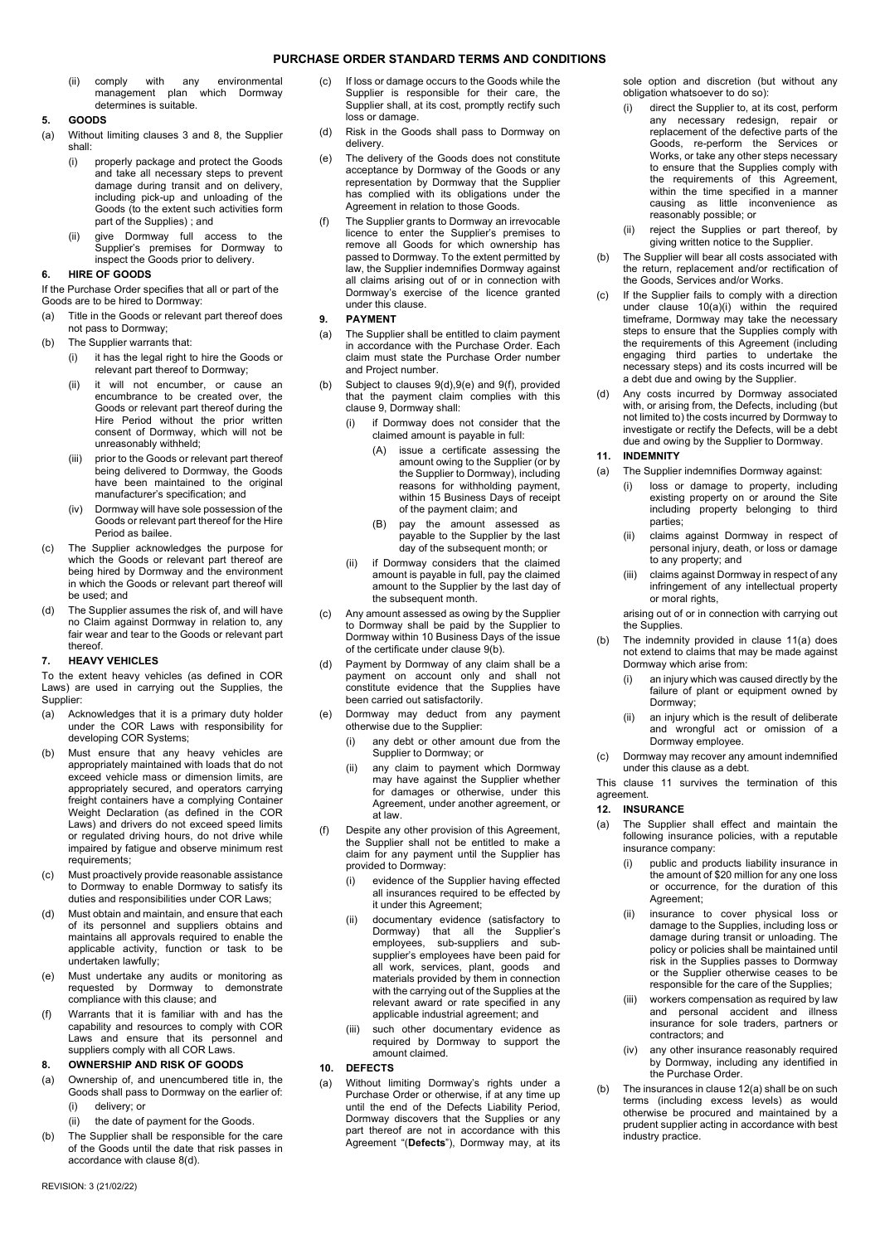(ii) comply with any environmental management plan which Dormway determines is suitable.

### **5. GOODS**

- (a) Without limiting clauses [3](#page-0-0) and [8,](#page-1-0) the Supplier shall:
	- (i) properly package and protect the Goods and take all necessary steps to prevent damage during transit and on delivery, including pick-up and unloading of the Goods (to the extent such activities form part of the Supplies) ; and
	- give Dormway full access to the Supplier's premises for Dormway to inspect the Goods prior to delivery.

## **6. HIRE OF GOODS**

If the Purchase Order specifies that all or part of the Goods are to be hired to Dormway:

- (a) Title in the Goods or relevant part thereof does not pass to Dormway;
- (b) The Supplier warrants that:
	- (i) it has the legal right to hire the Goods or relevant part thereof to Dormway;
	- it will not encumber, or cause an encumbrance to be created over, the Goods or relevant part thereof during the Hire Period without the prior written consent of Dormway, which will not be unreasonably withheld;
	- (iii) prior to the Goods or relevant part thereof being delivered to Dormway, the Goods have been maintained to the original manufacturer's specification; and
	- (iv) Dormway will have sole possession of the Goods or relevant part thereof for the Hire Period as bailee.
- (c) The Supplier acknowledges the purpose for which the Goods or relevant part thereof are being hired by Dormway and the environment in which the Goods or relevant part thereof will be used; and
- (d) The Supplier assumes the risk of, and will have no Claim against Dormway in relation to, any fair wear and tear to the Goods or relevant part thereof.

### **7. HEAVY VEHICLES**

To the extent heavy vehicles (as defined in COR Laws) are used in carrying out the Supplies, the Supplier:

- (a) Acknowledges that it is a primary duty holder under the COR Laws with responsibility for developing COR Systems;
- (b) Must ensure that any heavy vehicles are appropriately maintained with loads that do not exceed vehicle mass or dimension limits, are appropriately secured, and operators carrying freight containers have a complying Container Weight Declaration (as defined in the COR Laws) and drivers do not exceed speed limits or regulated driving hours, do not drive while impaired by fatigue and observe minimum rest requirements;
- (c) Must proactively provide reasonable assistance to Dormway to enable Dormway to satisfy its duties and responsibilities under COR Laws;
- (d) Must obtain and maintain, and ensure that each of its personnel and suppliers obtains and maintains all approvals required to enable the applicable activity, function or task to be undertaken lawfully;
- (e) Must undertake any audits or monitoring as requested by Dormway to demonstrate compliance with this clause; and
- (f) Warrants that it is familiar with and has the capability and resources to comply with COR Laws and ensure that its personnel and suppliers comply with all COR Laws.

## <span id="page-1-0"></span>**8. OWNERSHIP AND RISK OF GOODS**

- (a) Ownership of, and unencumbered title in, the Goods shall pass to Dormway on the earlier of: (i) delivery; or
	- (ii) the date of payment for the Goods.
- (b) The Supplier shall be responsible for the care of the Goods until the date that risk passes in accordance with clause [8\(d\).](#page-1-1)
- (c) If loss or damage occurs to the Goods while the Supplier is responsible for their care, the Supplier shall, at its cost, promptly rectify such loss or damage.
- <span id="page-1-1"></span>(d) Risk in the Goods shall pass to Dormway on delivery.
- (e) The delivery of the Goods does not constitute acceptance by Dormway of the Goods or any representation by Dormway that the Supplier has complied with its obligations under the Agreement in relation to those Goods.
- (f) The Supplier grants to Dormway an irrevocable licence to enter the Supplier's premises to remove all Goods for which ownership has passed to Dormway. To the extent permitted by law, the Supplier indemnifies Dormway against all claims arising out of or in connection with Dormway's exercise of the licence granted under this clause.

## <span id="page-1-2"></span>**9. PAYMENT**

- (a) The Supplier shall be entitled to claim payment in accordance with the Purchase Order. Each claim must state the Purchase Order number and Project number.
- <span id="page-1-11"></span><span id="page-1-6"></span>Subject to clauses  $9(d),9(e)$  $9(d),9(e)$  $9(d),9(e)$  $9(d),9(e)$  and  $9(f)$ , provided that the payment claim complies with this claus[e 9,](#page-1-2) Dormway shall:
	- (i) if Dormway does not consider that the claimed amount is payable in full:
		- (A) issue a certificate assessing the amount owing to the Supplier (or by the Supplier to Dormway), including reasons for withholding payment, within 15 Business Days of receipt of the payment claim; and
		- (B) pay the amount assessed as payable to the Supplier by the last day of the subsequent month; or
	- (ii) if Dormway considers that the claimed amount is payable in full, pay the claimed amount to the Supplier by the last day of the subsequent month.
- (c) Any amount assessed as owing by the Supplier to Dormway shall be paid by the Supplier to Dormway within 10 Business Days of the issue of the certificate under claus[e 9\(b\).](#page-1-6)
- <span id="page-1-3"></span>(d) Payment by Dormway of any claim shall be a payment on account only and shall not constitute evidence that the Supplies have been carried out satisfactorily.
- <span id="page-1-4"></span>(e) Dormway may deduct from any payment otherwise due to the Supplier:
	- (i) any debt or other amount due from the Supplier to Dormway; or
	- (ii) any claim to payment which Dormway may have against the Supplier whether for damages or otherwise, under this Agreement, under another agreement, or at law.
- <span id="page-1-5"></span>(f) Despite any other provision of this Agreement, the Supplier shall not be entitled to make a claim for any payment until the Supplier has provided to Dormway:
	- (i) evidence of the Supplier having effected all insurances required to be effected by it under this Agreement;
	- (ii) documentary evidence (satisfactory to Dormway) that all the Supplier's employees, sub-suppliers and subsupplier's employees have been paid for all work, services, plant, goods and materials provided by them in connection with the carrying out of the Supplies at the relevant award or rate specified in any applicable industrial agreement; and
	- (iii) such other documentary evidence as required by Dormway to support the amount claimed.

### <span id="page-1-12"></span>**10. DEFECTS**

(a) Without limiting Dormway's rights under a Purchase Order or otherwise, if at any time up until the end of the Defects Liability Period, Dormway discovers that the Supplies or any part thereof are not in accordance with this Agreement "(**Defects**"), Dormway may, at its

sole option and discretion (but without any obligation whatsoever to do so):

- <span id="page-1-7"></span>direct the Supplier to, at its cost, perform any necessary redesign, repair or replacement of the defective parts of the Goods, re-perform the Services or Works, or take any other steps necessary to ensure that the Supplies comply with the requirements of this Agreement, within the time specified in a manner causing as little inconvenience as reasonably possible; or
- (ii) reject the Supplies or part thereof, by giving written notice to the Supplier.
- (b) The Supplier will bear all costs associated with the return, replacement and/or rectification of the Goods, Services and/or Works.
- (c) If the Supplier fails to comply with a direction under clause [10\(a\)\(i\)](#page-1-7) within the required timeframe, Dormway may take the necessary steps to ensure that the Supplies comply with the requirements of this Agreement (including engaging third parties to undertake the necessary steps) and its costs incurred will be a debt due and owing by the Supplier.
- (d) Any costs incurred by Dormway associated with, or arising from, the Defects, including (but not limited to) the costs incurred by Dormway to investigate or rectify the Defects, will be a debt due and owing by the Supplier to Dormway.

## <span id="page-1-9"></span>**11. INDEMNITY**

- <span id="page-1-8"></span>(a) The Supplier indemnifies Dormway against:
	- (i) loss or damage to property, including existing property on or around the Site including property belonging to third parties;
	- (ii) claims against Dormway in respect of personal injury, death, or loss or damage to any property; and
	- (iii) claims against Dormway in respect of any infringement of any intellectual property or moral rights,

arising out of or in connection with carrying out the Supplies.

- (b) The indemnity provided in clause [11\(a\)](#page-1-8) does not extend to claims that may be made against Dormway which arise from:
	- an injury which was caused directly by the failure of plant or equipment owned by Dormway;
	- (ii) an injury which is the result of deliberate and wrongful act or omission of a Dormway employee.
- (c) Dormway may recover any amount indemnified under this clause as a debt.

This clause [11](#page-1-9) survives the termination of this agreement.

# **12. INSURANCE**

- <span id="page-1-10"></span>(a) The Supplier shall effect and maintain the following insurance policies, with a reputable insurance company:
	- (i) public and products liability insurance in the amount of \$20 million for any one loss or occurrence, for the duration of this Agreement;
	- (ii) insurance to cover physical loss or damage to the Supplies, including loss or damage during transit or unloading. The policy or policies shall be maintained until risk in the Supplies passes to Dormway or the Supplier otherwise ceases to be responsible for the care of the Supplies;
	- (iii) workers compensation as required by law and personal accident and illness insurance for sole traders, partners or contractors; and
	- (iv) any other insurance reasonably required by Dormway, including any identified in the Purchase Order.
- (b) The insurances in claus[e 12\(a\)](#page-1-10) shall be on such terms (including excess levels) as would otherwise be procured and maintained by a prudent supplier acting in accordance with best industry practice.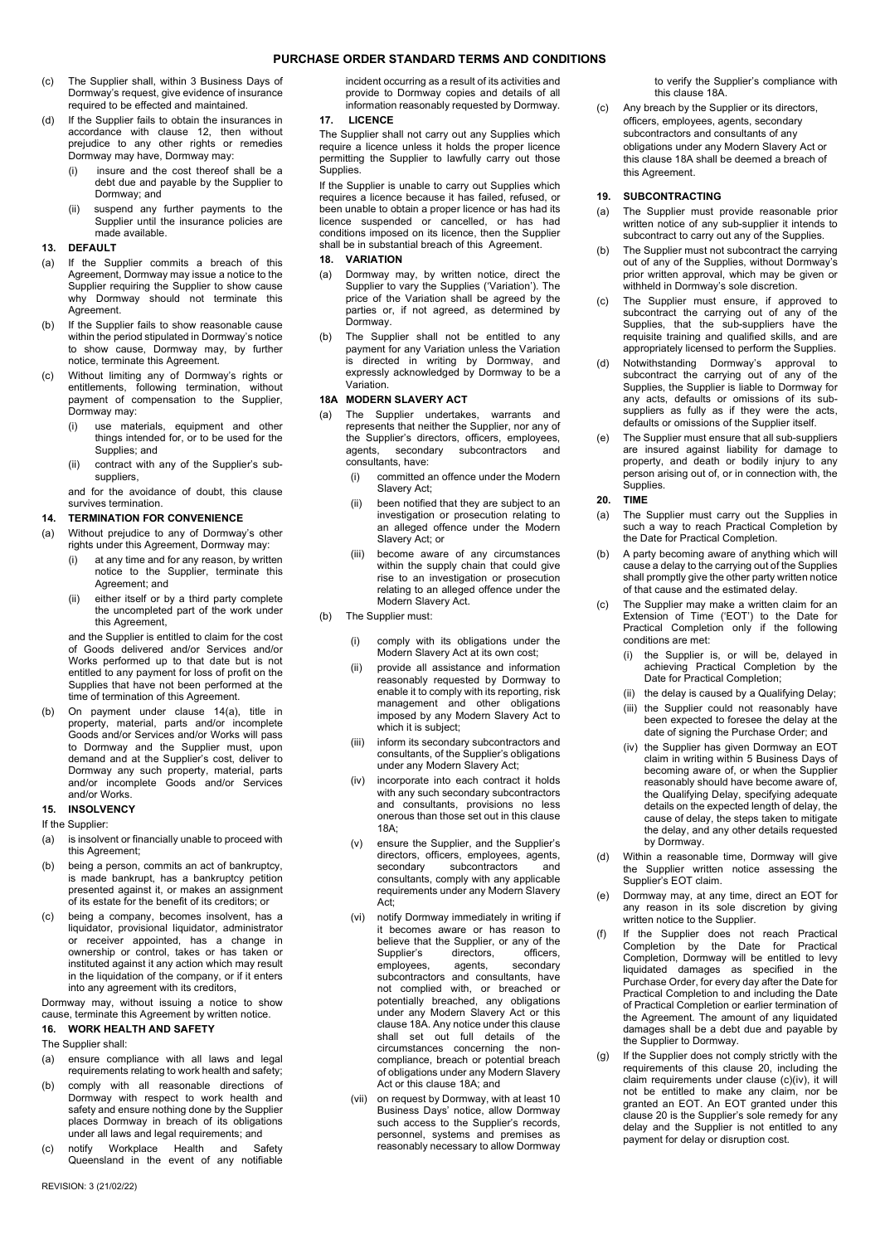- (c) The Supplier shall, within 3 Business Days of Dormway's request, give evidence of insurance required to be effected and maintained.
- (d) If the Supplier fails to obtain the insurances in accordance with clause 12, then without prejudice to any other rights or remedies Dormway may have, Dormway may:
	- (i) insure and the cost thereof shall be a debt due and payable by the Supplier to Dormway; and
	- (ii) suspend any further payments to the Supplier until the insurance policies are made available.

### **13. DEFAULT**

- (a) If the Supplier commits a breach of this Agreement, Dormway may issue a notice to the Supplier requiring the Supplier to show cause why Dormway should not terminate this Agreement.
- (b) If the Supplier fails to show reasonable cause within the period stipulated in Dormway's notice to show cause, Dormway may, by further notice, terminate this Agreement.
- (c) Without limiting any of Dormway's rights or entitlements, following termination, without payment of compensation to the Supplier, Dormway may:
	- (i) use materials, equipment and other things intended for, or to be used for the Supplies; and
	- (ii) contract with any of the Supplier's subsuppliers,

and for the avoidance of doubt, this clause survives termination.

# **14. TERMINATION FOR CONVENIENCE**

- <span id="page-2-0"></span>(a) Without prejudice to any of Dormway's other rights under this Agreement, Dormway may:
	- (i) at any time and for any reason, by written notice to the Supplier, terminate this Agreement; and
	- (ii) either itself or by a third party complete the uncompleted part of the work under this Agreement,

and the Supplier is entitled to claim for the cost of Goods delivered and/or Services and/or Works performed up to that date but is not entitled to any payment for loss of profit on the Supplies that have not been performed at the time of termination of this Agreement.

(b) On payment under clause [14\(a\),](#page-2-0) title in property, material, parts and/or incomplete Goods and/or Services and/or Works will pass to Dormway and the Supplier must, upon demand and at the Supplier's cost, deliver to Dormway any such property, material, parts and/or incomplete Goods and/or Services and/or Works.

# **15. INSOLVENCY**

If the Supplier:

- (a) is insolvent or financially unable to proceed with this Agreement;
- being a person, commits an act of bankruptcy, is made bankrupt, has a bankruptcy petition presented against it, or makes an assignment of its estate for the benefit of its creditors; or
- (c) being a company, becomes insolvent, has a liquidator, provisional liquidator, administrator or receiver appointed, has a change in ownership or control, takes or has taken or instituted against it any action which may result in the liquidation of the company, or if it enters into any agreement with its creditors,

Dormway may, without issuing a notice to show cause, terminate this Agreement by written notice.

# **16. WORK HEALTH AND SAFETY**

The Supplier shall:

- (a) ensure compliance with all laws and legal requirements relating to work health and safety;
- (b) comply with all reasonable directions of Dormway with respect to work health and safety and ensure nothing done by the Supplier places Dormway in breach of its obligations under all laws and legal requirements; and
- (c) notify Workplace Health and Safety Queensland in the event of any notifiable

incident occurring as a result of its activities and provide to Dormway copies and details of all information reasonably requested by Dormway.

# **17. LICENCE**

The Supplier shall not carry out any Supplies which require a licence unless it holds the proper licence permitting the Supplier to lawfully carry out those .<br>Supplies.

If the Supplier is unable to carry out Supplies which requires a licence because it has failed, refused, or been unable to obtain a proper licence or has had its licence suspended or cancelled, or has had conditions imposed on its licence, then the Supplier shall be in substantial breach of this Agreement.

## <span id="page-2-4"></span>**18. VARIATION**

- (a) Dormway may, by written notice, direct the Supplier to vary the Supplies ('Variation'). The price of the Variation shall be agreed by the parties or, if not agreed, as determined by Dormway.
- (b) The Supplier shall not be entitled to any payment for any Variation unless the Variation is directed in writing by Dormway, and expressly acknowledged by Dormway to be a Variation.

# **18A MODERN SLAVERY ACT**

- The Supplier undertakes, warrants and represents that neither the Supplier, nor any of the Supplier's directors, officers, employees, agents, secondary subcontractors and consultants, have:
	- (i) committed an offence under the Modern Slavery Act;
	- (ii) been notified that they are subject to an investigation or prosecution relating to an alleged offence under the Modern Slavery Act; or
	- (iii) become aware of any circumstances within the supply chain that could give rise to an investigation or prosecution relating to an alleged offence under the Modern Slavery Act.
- (b) The Supplier must:
	- (i) comply with its obligations under the Modern Slavery Act at its own cost;
	- (ii) provide all assistance and information reasonably requested by Dormway to enable it to comply with its reporting, risk management and other obligations imposed by any Modern Slavery Act to which it is subject;
	- (iii) inform its secondary subcontractors and consultants, of the Supplier's obligations under any Modern Slavery Act;
	- (iv) incorporate into each contract it holds with any such secondary subcontractors and consultants, provisions no less onerous than those set out in this clause 18A;
	- (v) ensure the Supplier, and the Supplier's directors, officers, employees, agents, secondary subcontractors and consultants, comply with any applicable requirements under any Modern Slavery Act;
	- (vi) notify Dormway immediately in writing if it becomes aware or has reason to believe that the Supplier, or any of the<br>Supplier's directors. officers. directors, officers,<br>agents, secondary employees, subcontractors and consultants, have not complied with, or breached or potentially breached, any obligations under any Modern Slavery Act or this clause 18A. Any notice under this clause shall set out full details of the circumstances concerning the noncompliance, breach or potential breach of obligations under any Modern Slavery Act or this clause 18A; and
	- (vii) on request by Dormway, with at least 10 Business Days' notice, allow Dormway such access to the Supplier's records, personnel, systems and premises as reasonably necessary to allow Dormway

to verify the Supplier's compliance with this clause 18A.

(c) Any breach by the Supplier or its directors, officers, employees, agents, secondary subcontractors and consultants of any obligations under any Modern Slavery Act or this clause 18A shall be deemed a breach of this Agreement.

# **19. SUBCONTRACTING**

- (a) The Supplier must provide reasonable prior written notice of any sub-supplier it intends to subcontract to carry out any of the Supplies.
- (b) The Supplier must not subcontract the carrying out of any of the Supplies, without Dormway's prior written approval, which may be given or withheld in Dormway's sole discretion.
- The Supplier must ensure, if approved to subcontract the carrying out of any of the Supplies, that the sub-suppliers have the requisite training and qualified skills, and are appropriately licensed to perform the Supplies.
- (d) Notwithstanding Dormway's approval to subcontract the carrying out of any of the Supplies, the Supplier is liable to Dormway for any acts, defaults or omissions of its subsuppliers as fully as if they were the acts, defaults or omissions of the Supplier itself.
- (e) The Supplier must ensure that all sub-suppliers are insured against liability for damage to property, and death or bodily injury to any person arising out of, or in connection with, the .<br>Supplies.
- <span id="page-2-1"></span>**20. TIME**
- (a) The Supplier must carry out the Supplies in such a way to reach Practical Completion by the Date for Practical Completion.
- A party becoming aware of anything which will cause a delay to the carrying out of the Supplies shall promptly give the other party written notice of that cause and the estimated delay.
- <span id="page-2-3"></span>The Supplier may make a written claim for an Extension of Time ('EOT') to the Date for Practical Completion only if the following conditions are met:
	- the Supplier is, or will be, delayed in achieving Practical Completion by the Date for Practical Completion;
	- (ii) the delay is caused by a Qualifying Delay;
	- (iii) the Supplier could not reasonably have been expected to foresee the delay at the date of signing the Purchase Order; and
	- (iv) the Supplier has given Dormway an EOT claim in writing within 5 Business Days of becoming aware of, or when the Supplier reasonably should have become aware of, the Qualifying Delay, specifying adequate details on the expected length of delay, the cause of delay, the steps taken to mitigate the delay, and any other details requested by Dormway.
- <span id="page-2-2"></span>(d) Within a reasonable time, Dormway will give the Supplier written notice assessing the Supplier's EOT claim.
- (e) Dormway may, at any time, direct an EOT for any reason in its sole discretion by giving written notice to the Supplier.
- (f) If the Supplier does not reach Practical Completion by the Date for Practical Completion, Dormway will be entitled to levy liquidated damages as specified in the Purchase Order, for every day after the Date for Practical Completion to and including the Date of Practical Completion or earlier termination of the Agreement. The amount of any liquidated damages shall be a debt due and payable by the Supplier to Dormway.
- (g) If the Supplier does not comply strictly with the requirements of this clause [20,](#page-2-1) including the claim requirements under clause [\(c\)\(iv\),](#page-2-2) it will not be entitled to make any claim, nor be granted an EOT. An EOT granted under this clause [20](#page-2-1) is the Supplier's sole remedy for any delay and the Supplier is not entitled to any payment for delay or disruption cost.